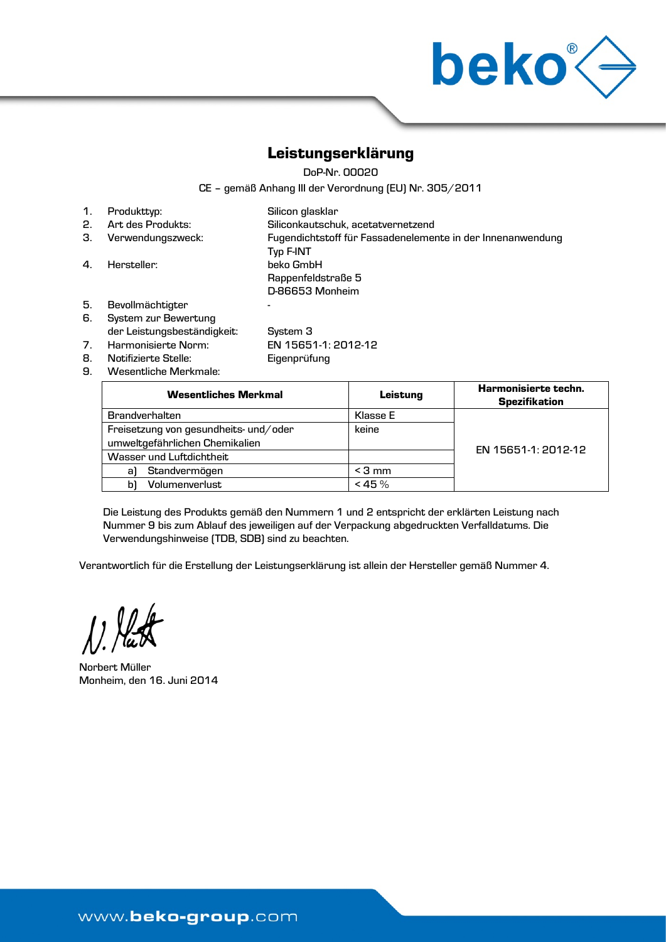

## Leistungserklärung

DoP-Nr. 00020

CE – gemäß Anhang III der Verordnung (EU) Nr. 305/2011

| $\mathbf{1}$ . | Produkttyp:                 | Silicon glasklar                                                        |
|----------------|-----------------------------|-------------------------------------------------------------------------|
| 2.             | Art des Produkts:           | Siliconkautschuk, acetatvernetzend                                      |
| З.             | Verwendungszweck:           | Fugendichtstoff für Fassadenelemente in der Innenanwendung<br>Typ F-INT |
| $\mathbf{A}$   | Hersteller:                 | beko GmbH                                                               |
|                |                             | Rappenfeldstraße 5                                                      |
|                |                             | D-86653 Monheim                                                         |
| 5.             | Bevollmächtigter            |                                                                         |
| 6.             | System zur Bewertung        |                                                                         |
|                | der Leistungsbeständigkeit: | System 3                                                                |
| 7 <sub>1</sub> | Harmonisierte Norm:         | EN 15651-1: 2012-12                                                     |
| 8.             | Notifizierte Stelle:        | Eigenprüfung                                                            |
| 9.             | Wesentliche Merkmale:       |                                                                         |

| <b>Wesentliches Merkmal</b>           | Leistung  | Harmonisierte techn.<br><b>Spezifikation</b> |  |
|---------------------------------------|-----------|----------------------------------------------|--|
| <b>Brandverhalten</b>                 | Klasse E  |                                              |  |
| Freisetzung von gesundheits- und/oder | keine     |                                              |  |
| umweltgefährlichen Chemikalien        |           |                                              |  |
| Wasser und Luftdichtheit              |           | EN 15651-1: 2012-12                          |  |
| Standvermögen<br>al                   | $<$ 3 mm  |                                              |  |
| Volumenverlust<br>bì                  | $< 45 \%$ |                                              |  |

Die Leistung des Produkts gemäß den Nummern 1 und 2 entspricht der erklärten Leistung nach Nummer 9 bis zum Ablauf des jeweiligen auf der Verpackung abgedruckten Verfalldatums. Die Verwendungshinweise (TDB, SDB) sind zu beachten.

Verantwortlich für die Erstellung der Leistungserklärung ist allein der Hersteller gemäß Nummer 4.

). Nat

Norbert Müller Monheim, den 16. Juni 2014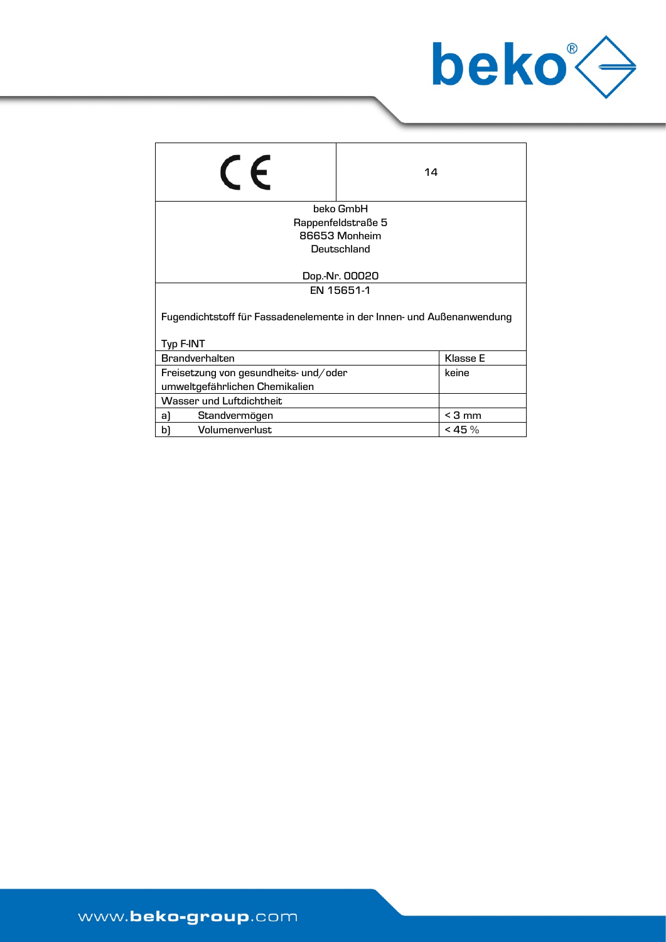

| $\mathsf{C}\mathsf{F}$                                                             | 14                 |            |
|------------------------------------------------------------------------------------|--------------------|------------|
|                                                                                    | beko GmbH          |            |
|                                                                                    | Rappenfeldstraße 5 |            |
|                                                                                    | 86653 Monheim      |            |
| Deutschland                                                                        |                    |            |
| Dop.-Nr. 00020                                                                     |                    |            |
| EN 15651-1                                                                         |                    |            |
| Fugendichtstoff für Fassadenelemente in der Innen- und Außenanwendung<br>Typ F-INT |                    |            |
| <b>Brandverhalten</b><br>Klasse E                                                  |                    |            |
| Freisetzung von gesundheits- und/oder                                              |                    | keine      |
| umweltgefährlichen Chemikalien                                                     |                    |            |
| Wasser und Luftdichtheit                                                           |                    |            |
| a)<br>Standvermögen                                                                |                    | $<$ 3 mm   |
| Volumenverlust<br>bì                                                               |                    | $<$ 45 $%$ |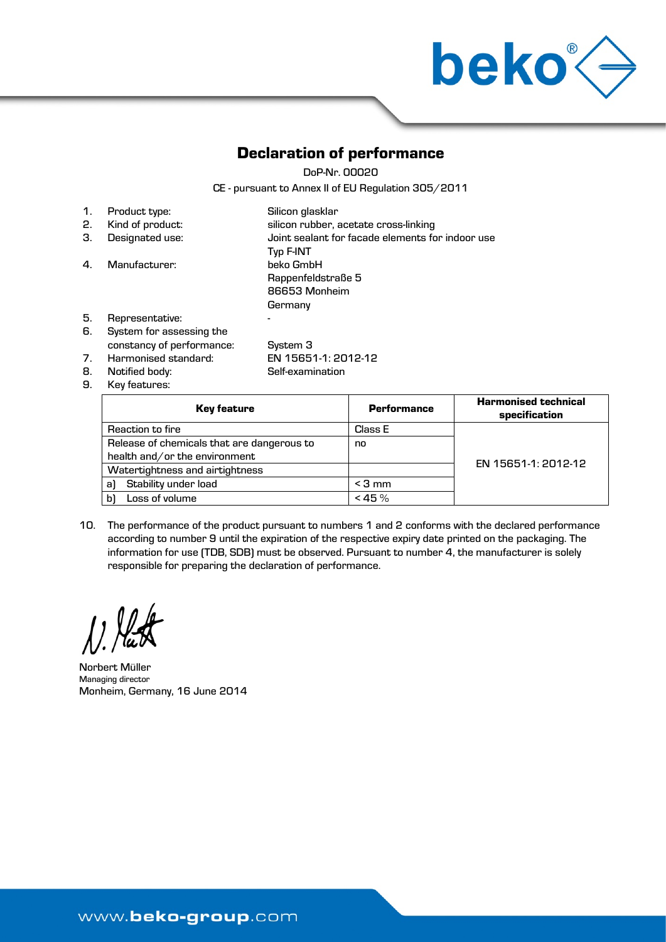

## Declaration of performance

DoP-Nr. 00020

CE - pursuant to Annex II of EU Regulation 305/2011

| 1. | Product type:             | Silicon glasklar                                 |
|----|---------------------------|--------------------------------------------------|
| 2. | Kind of product:          | silicon rubber, acetate cross-linking            |
| З. | Designated use:           | Joint sealant for facade elements for indoor use |
|    |                           | Typ F-INT                                        |
| 4. | Manufacturer:             | beko GmbH                                        |
|    |                           | Rappenfeldstraße 5                               |
|    |                           | 86653 Monheim                                    |
|    |                           | Germany                                          |
| 5. | Representative:           | -                                                |
| 6. | System for assessing the  |                                                  |
|    | constancy of performance: | System 3                                         |

- constancy of performance: System 3 7. Harmonised standard: EN 15651-1: 2012-12 8. Notified body: Self-examination
- 9. Key features:

| <b>Key feature</b>                         | <b>Performance</b> | <b>Harmonised technical</b><br>specification |
|--------------------------------------------|--------------------|----------------------------------------------|
| Reaction to fire                           | Class E            |                                              |
| Release of chemicals that are dangerous to | no                 |                                              |
| health and/or the environment              |                    | EN 15651-1: 2012-12                          |
| Watertightness and airtightness            |                    |                                              |
| Stability under load<br>a)                 | $<$ 3 mm           |                                              |
| Loss of volume<br>bì                       | $< 45 \%$          |                                              |

10. The performance of the product pursuant to numbers 1 and 2 conforms with the declared performance according to number 9 until the expiration of the respective expiry date printed on the packaging. The information for use (TDB, SDB) must be observed. Pursuant to number 4, the manufacturer is solely responsible for preparing the declaration of performance.

Norbert Müller Managing director Monheim, Germany, 16 June 2014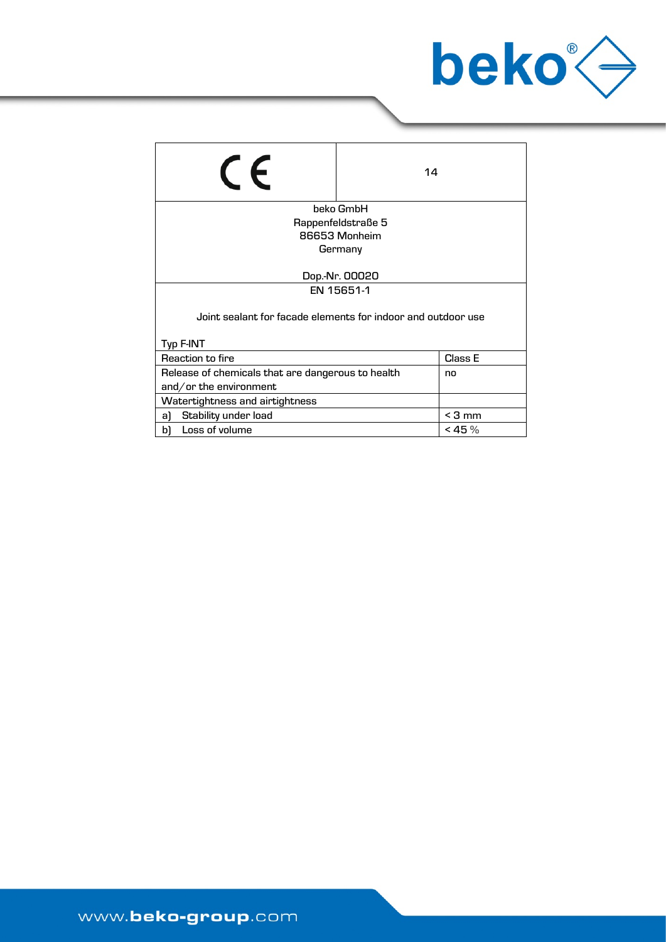

| $\epsilon$                                                   | 14                 |            |  |
|--------------------------------------------------------------|--------------------|------------|--|
|                                                              | beko GmbH          |            |  |
|                                                              | Rappenfeldstraße 5 |            |  |
|                                                              | 86653 Monheim      |            |  |
|                                                              | Germany            |            |  |
| Dop.-Nr. 00020                                               |                    |            |  |
| EN 15651-1                                                   |                    |            |  |
| Joint sealant for facade elements for indoor and outdoor use |                    |            |  |
| Typ F-INT                                                    |                    |            |  |
| Reaction to fire<br>Class E                                  |                    |            |  |
| Release of chemicals that are dangerous to health<br>no      |                    |            |  |
| and/or the environment                                       |                    |            |  |
| Watertightness and airtightness                              |                    |            |  |
| Stability under load<br>a)                                   |                    | $<$ 3 mm   |  |
| Loss of volume<br>bì                                         |                    | $<$ 45 $%$ |  |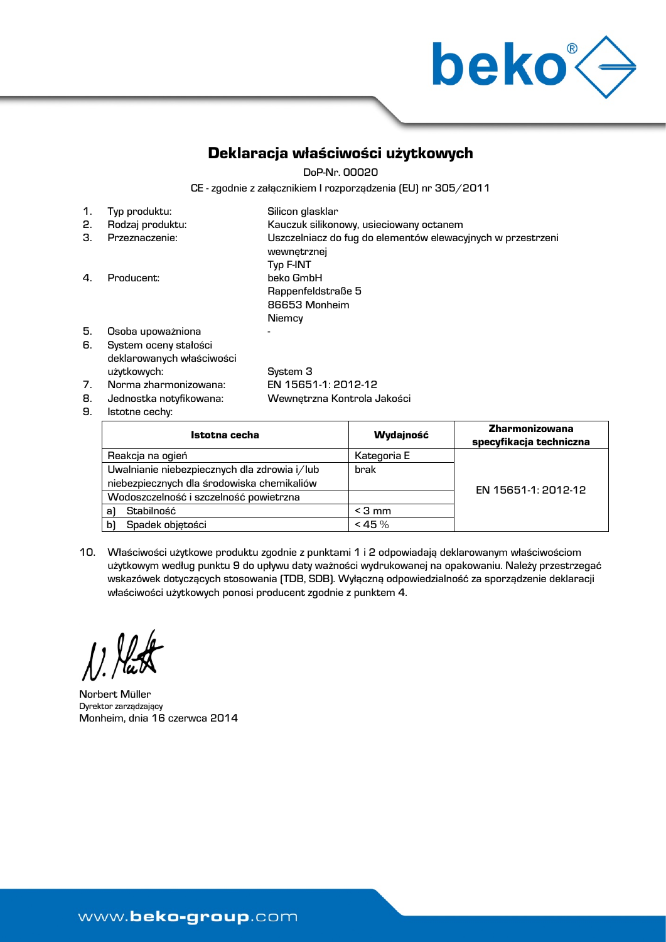

specyfikacja techniczna

## Deklaracja właściwości użytkowych

DoP-Nr. 00020

CE - zgodnie z załącznikiem I rozporządzenia (EU) nr 305/2011

| 1. | Typ produktu:                                      | Silicon glasklar                                                           |
|----|----------------------------------------------------|----------------------------------------------------------------------------|
| 2. | Rodzaj produktu:                                   | Kauczuk silikonowy, usieciowany octanem                                    |
| З. | Przeznaczenie:                                     | Uszczelniacz do fug do elementów elewacyjnych w przestrzeni<br>wewnetrznej |
|    |                                                    | Typ F-INT                                                                  |
| 4. | Producent:                                         | beko GmbH                                                                  |
|    |                                                    | Rappenfeldstraße 5                                                         |
|    |                                                    | 86653 Monheim                                                              |
|    |                                                    | Niemcy                                                                     |
| 5. | Osoba upoważniona                                  |                                                                            |
| 6. | System oceny stałości<br>deklarowanych właściwości |                                                                            |
|    |                                                    |                                                                            |

użytkowych: System 3 7. Norma zharmonizowana: EN 15651-1: 2012-12

9. Istotne cechy:

8. Jednostka notyfikowana: Wewnętrzna Kontrola Jakości

Istotna cecha Wydajność Zharmonizowana brak

| Reakcja na ogień                             | Kategoria E |                     |
|----------------------------------------------|-------------|---------------------|
| Uwalnianie niebezpiecznych dla zdrowia i/lub | brak        |                     |
| niebezpiecznych dla środowiska chemikaliów   |             | EN 15651-1: 2012-12 |
| Wodoszczelność i szczelność powietrzna       |             |                     |
| a)<br>Stabilność                             | $<$ 3 mm    |                     |
| b١<br>Spadek objetości                       | $< 45 \%$   |                     |
|                                              |             |                     |

10. Właściwości użytkowe produktu zgodnie z punktami 1 i 2 odpowiadają deklarowanym właściwościom użytkowym według punktu 9 do upływu daty ważności wydrukowanej na opakowaniu. Należy przestrzegać wskazówek dotyczących stosowania (TDB, SDB). Wyłączną odpowiedzialność za sporządzenie deklaracji właściwości użytkowych ponosi producent zgodnie z punktem 4.

Norbert Müller Dyrektor zarządzający Monheim, dnia 16 czerwca 2014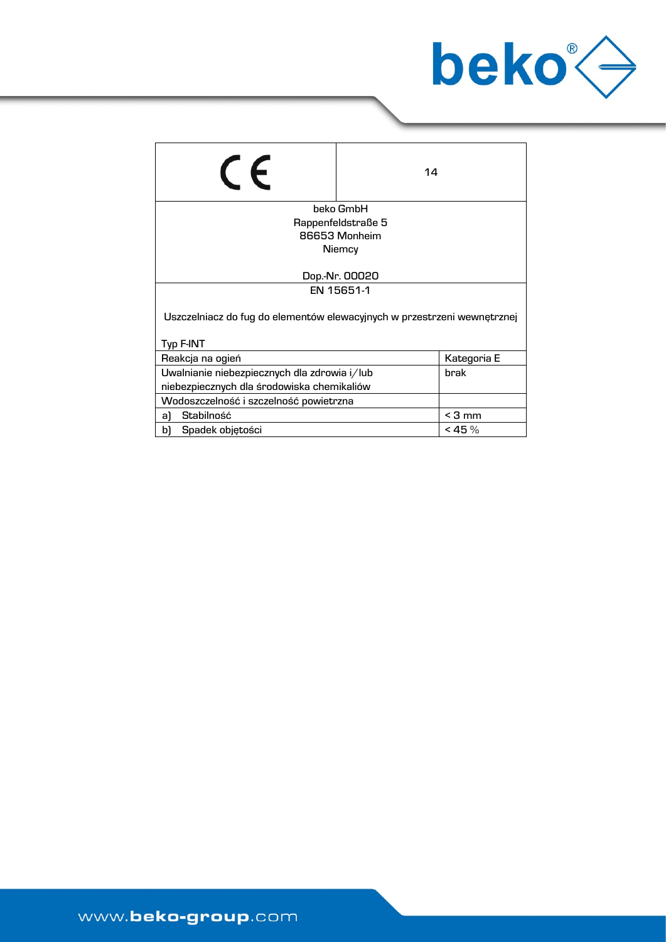

| $\epsilon$                                                              | 14                 |            |
|-------------------------------------------------------------------------|--------------------|------------|
|                                                                         | beko GmbH          |            |
|                                                                         |                    |            |
|                                                                         | Rappenfeldstraße 5 |            |
|                                                                         | 86653 Monheim      |            |
|                                                                         | Niemcy             |            |
|                                                                         |                    |            |
| Dop.-Nr. 00020                                                          |                    |            |
| EN 15651-1                                                              |                    |            |
| Uszczelniacz do fug do elementów elewacyjnych w przestrzeni wewnętrznej |                    |            |
| Typ F-INT                                                               |                    |            |
| Reakcja na ogień<br>Kategoria E                                         |                    |            |
| Uwalnianie niebezpiecznych dla zdrowia i/lub<br>brak                    |                    |            |
| niebezpiecznych dla środowiska chemikaliów                              |                    |            |
| Wodoszczelność i szczelność powietrzna                                  |                    |            |
| Stabilność<br>a)                                                        |                    | $<$ 3 mm   |
| b)<br>Spadek objętości                                                  |                    | $<$ 45 $%$ |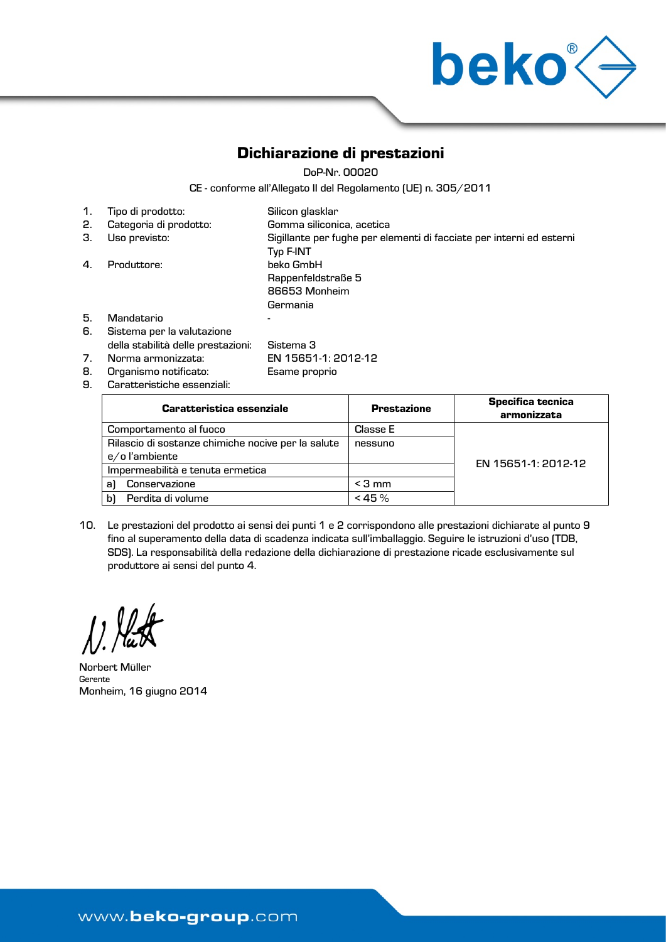

# Dichiarazione di prestazioni

DoP-Nr. 00020

CE - conforme all'Allegato II del Regolamento (UE) n. 305/2011

| 1. | Tipo di prodotto:                  | Silicon glasklar                                                                         |
|----|------------------------------------|------------------------------------------------------------------------------------------|
| 2. | Categoria di prodotto:             | Gomma siliconica, acetica                                                                |
| З. | Uso previsto:                      | Sigillante per fughe per elementi di facciate per interni ed esterni<br><b>Typ F-INT</b> |
| 4. | Produttore:                        | beko GmbH                                                                                |
|    |                                    | Rappenfeldstraße 5                                                                       |
|    |                                    | 86653 Monheim                                                                            |
|    |                                    | Germania                                                                                 |
| 5. | Mandatario                         |                                                                                          |
| 6. | Sistema per la valutazione         |                                                                                          |
|    | della stabilità delle prestazioni: | Sistema 3                                                                                |
| 7. | Norma armonizzata:                 | EN 15651-1: 2012-12                                                                      |

8. Organismo notificato: Esame proprio

9. Caratteristiche essenziali:

| <b>Caratteristica essenziale</b>                   | <b>Prestazione</b> | <b>Specifica tecnica</b><br>armonizzata |
|----------------------------------------------------|--------------------|-----------------------------------------|
| Comportamento al fuoco                             | Classe E           |                                         |
| Rilascio di sostanze chimiche nocive per la salute | nessuno            |                                         |
| e/o l'ambiente                                     |                    | EN 15651-1: 2012-12                     |
| Impermeabilità e tenuta ermetica                   |                    |                                         |
| Conservazione<br>al                                | $<$ 3 mm           |                                         |
| Perdita di volume<br>b                             | $< 45 \%$          |                                         |

10. Le prestazioni del prodotto ai sensi dei punti 1 e 2 corrispondono alle prestazioni dichiarate al punto 9 fino al superamento della data di scadenza indicata sull'imballaggio. Seguire le istruzioni d'uso (TDB, SDS). La responsabilità della redazione della dichiarazione di prestazione ricade esclusivamente sul produttore ai sensi del punto 4.

 $\mathcal{L}$ 

Norbert Müller Gerente Monheim, 16 giugno 2014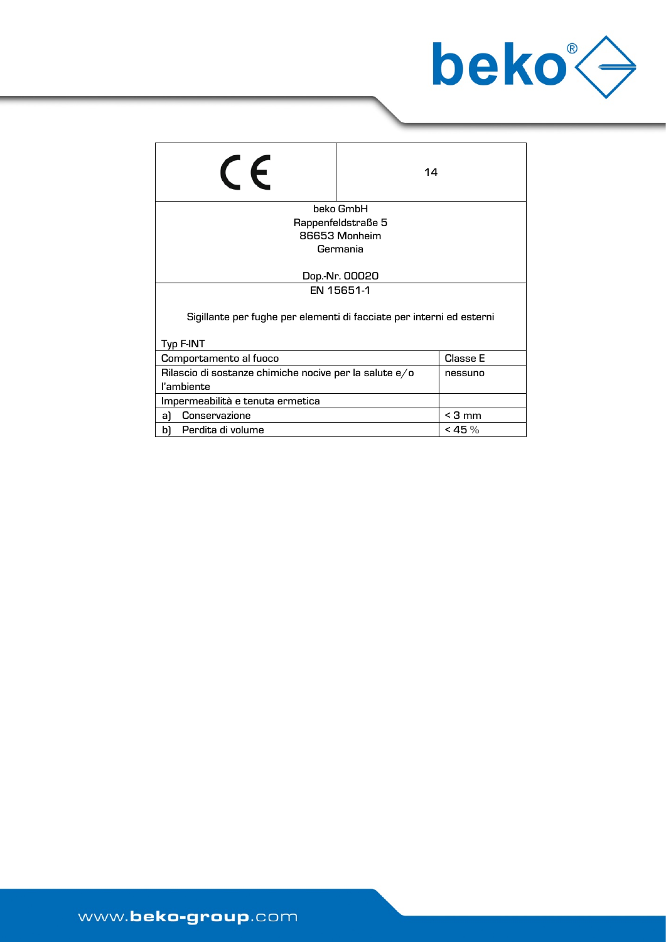

| LE                                                                                | 14                 |            |  |
|-----------------------------------------------------------------------------------|--------------------|------------|--|
|                                                                                   | beko GmbH          |            |  |
|                                                                                   | Rappenfeldstraße 5 |            |  |
|                                                                                   | 86653 Monheim      |            |  |
|                                                                                   | Germania           |            |  |
| Dop.-Nr. 00020                                                                    |                    |            |  |
| EN 15651-1                                                                        |                    |            |  |
| Sigillante per fughe per elementi di facciate per interni ed esterni<br>Typ F-INT |                    |            |  |
| Comportamento al fuoco                                                            |                    | Classe E   |  |
| Rilascio di sostanze chimiche nocive per la salute e/o<br>nessuno<br>l'ambiente   |                    |            |  |
| Impermeabilità e tenuta ermetica                                                  |                    |            |  |
| Conservazione<br>a)                                                               |                    | $<$ 3 mm   |  |
| Perdita di volume<br>bì                                                           |                    | $<$ 45 $%$ |  |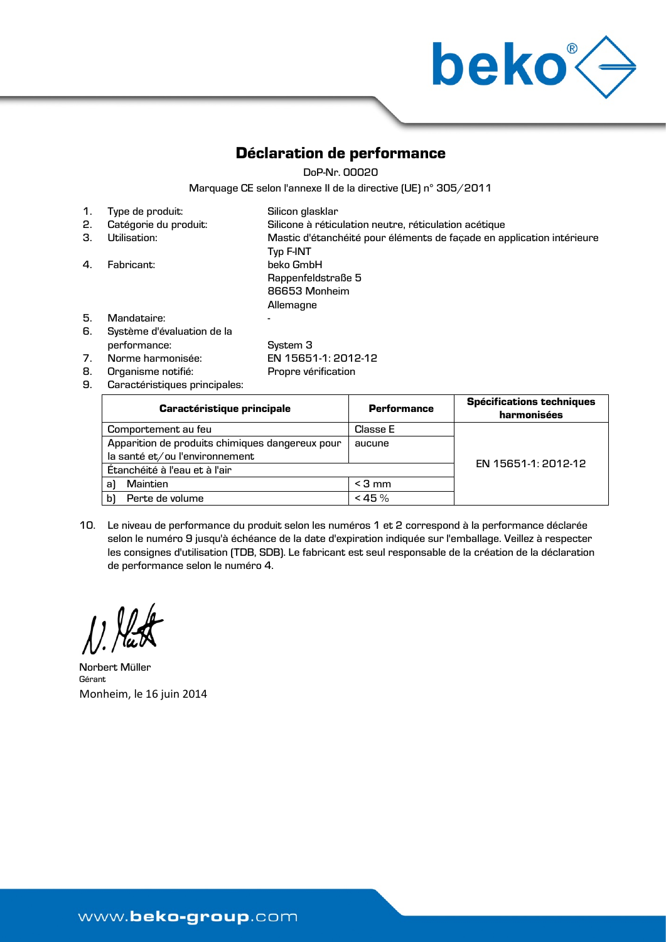

## Déclaration de performance

DoP-Nr. 00020

Marquage CE selon l'annexe II de la directive (UE) n° 305/2011

| 1. | Type de produit:                           | Silicon glasklar                                                                   |
|----|--------------------------------------------|------------------------------------------------------------------------------------|
| 2. | Catégorie du produit:                      | Silicone à réticulation neutre, réticulation acétique                              |
| З. | Utilisation:                               | Mastic d'étanchéité pour éléments de façade en application intérieure<br>Typ F-INT |
| 4. | Fabricant:                                 | beko GmbH<br>Rappenfeldstraße 5<br>86653 Monheim<br>Allemagne                      |
| 5. | Mandataire:                                |                                                                                    |
| 6. | Système d'évaluation de la<br>performance: | System 3                                                                           |
| 7. | Norme harmonisée:                          | EN 15651-1: 2012-12                                                                |
| 8. | Organisme notifié:                         | Propre vérification                                                                |
|    |                                            |                                                                                    |

9. Caractéristiques principales:

| <b>Caractéristique principale</b>               | <b>Performance</b> | <b>Spécifications techniques</b><br>harmonisées |  |
|-------------------------------------------------|--------------------|-------------------------------------------------|--|
| Comportement au feu                             | Classe E           |                                                 |  |
| Apparition de produits chimiques dangereux pour | aucune             |                                                 |  |
| la santé et/ou l'environnement                  |                    | EN 15651-1: 2012-12                             |  |
| Étanchéité à l'eau et à l'air                   |                    |                                                 |  |
| Maintien<br>al                                  | $<$ 3 mm           |                                                 |  |
| Perte de volume<br>b                            | $< 45 \%$          |                                                 |  |

10. Le niveau de performance du produit selon les numéros 1 et 2 correspond à la performance déclarée selon le numéro 9 jusqu'à échéance de la date d'expiration indiquée sur l'emballage. Veillez à respecter les consignes d'utilisation (TDB, SDB). Le fabricant est seul responsable de la création de la déclaration de performance selon le numéro 4.

1 Hat

Norbert Müller Gérant Monheim, le 16 juin 2014